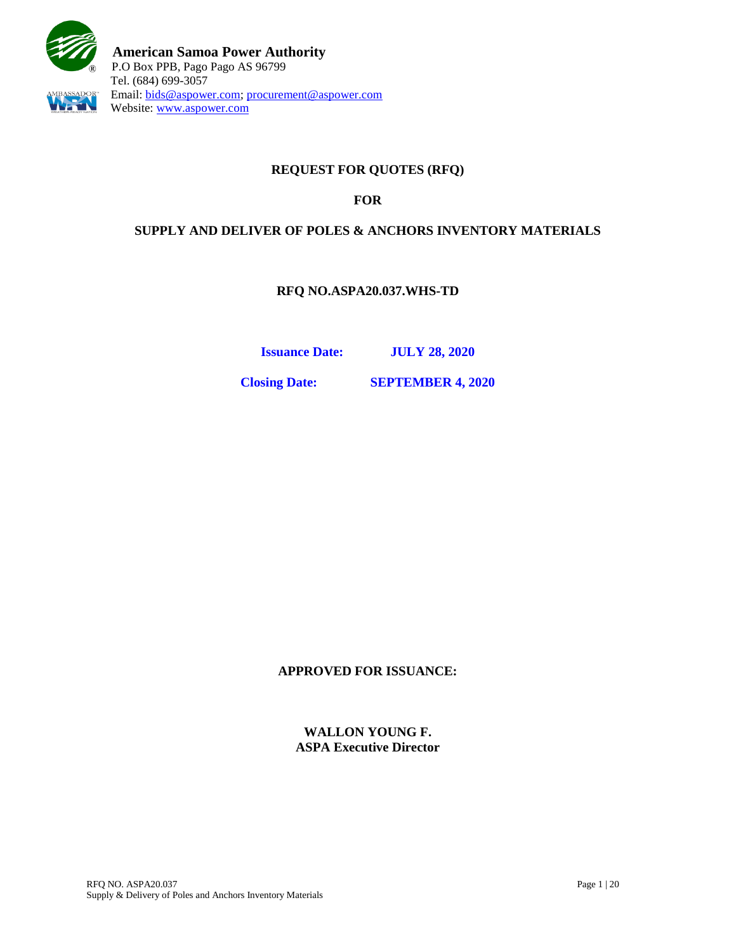

# **REQUEST FOR QUOTES (RFQ)**

## **FOR**

### **SUPPLY AND DELIVER OF POLES & ANCHORS INVENTORY MATERIALS**

**RFQ NO.ASPA20.037.WHS-TD**

**Issuance Date: JULY 28, 2020**

**Closing Date: SEPTEMBER 4, 2020**

**APPROVED FOR ISSUANCE:**

**WALLON YOUNG F. ASPA Executive Director**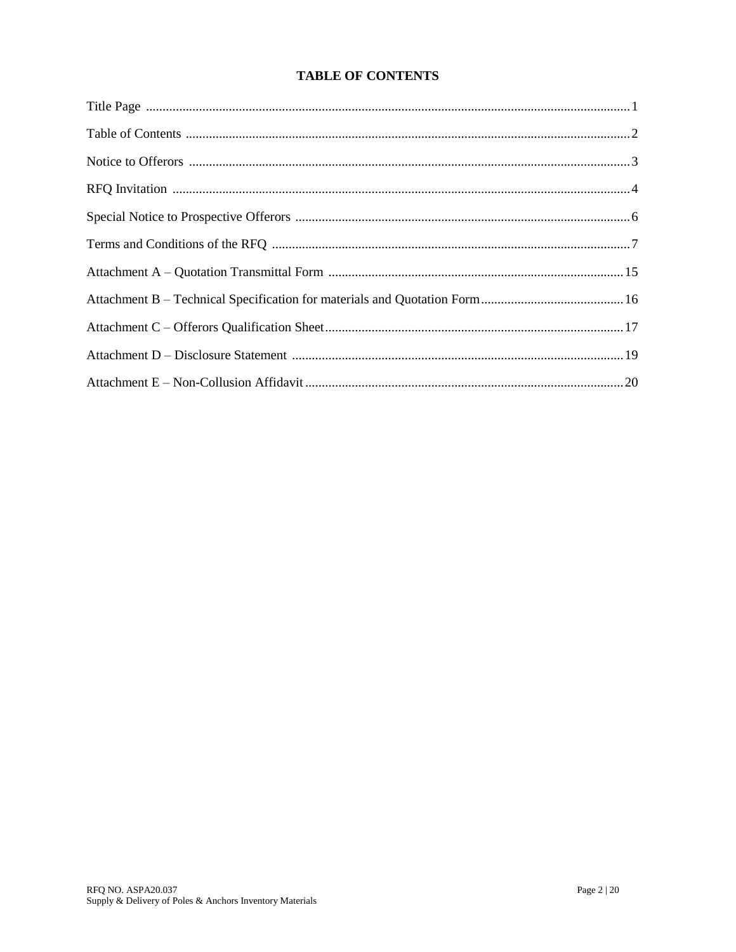# **TABLE OF CONTENTS**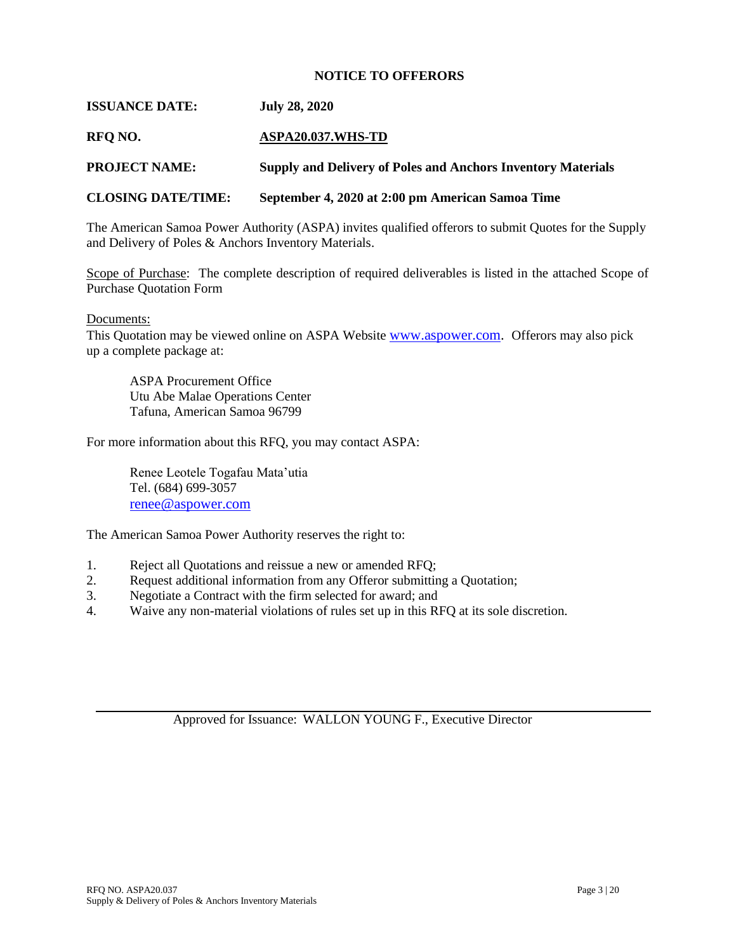#### **NOTICE TO OFFERORS**

#### **ISSUANCE DATE: July 28, 2020**

#### **RFQ NO. ASPA20.037.WHS-TD**

**PROJECT NAME: Supply and Delivery of Poles and Anchors Inventory Materials**

#### **CLOSING DATE/TIME: September 4, 2020 at 2:00 pm American Samoa Time**

The American Samoa Power Authority (ASPA) invites qualified offerors to submit Quotes for the Supply and Delivery of Poles & Anchors Inventory Materials.

Scope of Purchase: The complete description of required deliverables is listed in the attached Scope of Purchase Quotation Form

#### Documents:

This Quotation may be viewed online on ASPA Website [www.aspower.com.](http://www.aspower.com/) Offerors may also pick up a complete package at:

ASPA Procurement Office Utu Abe Malae Operations Center Tafuna, American Samoa 96799

For more information about this RFQ, you may contact ASPA:

Renee Leotele Togafau Mata'utia Tel. (684) 699-3057 [renee@aspower.com](mailto:renee@aspower.com)

The American Samoa Power Authority reserves the right to:

- 1. Reject all Quotations and reissue a new or amended RFQ;
- 2. Request additional information from any Offeror submitting a Quotation;
- 3. Negotiate a Contract with the firm selected for award; and
- 4. Waive any non-material violations of rules set up in this RFQ at its sole discretion.

Approved for Issuance: WALLON YOUNG F., Executive Director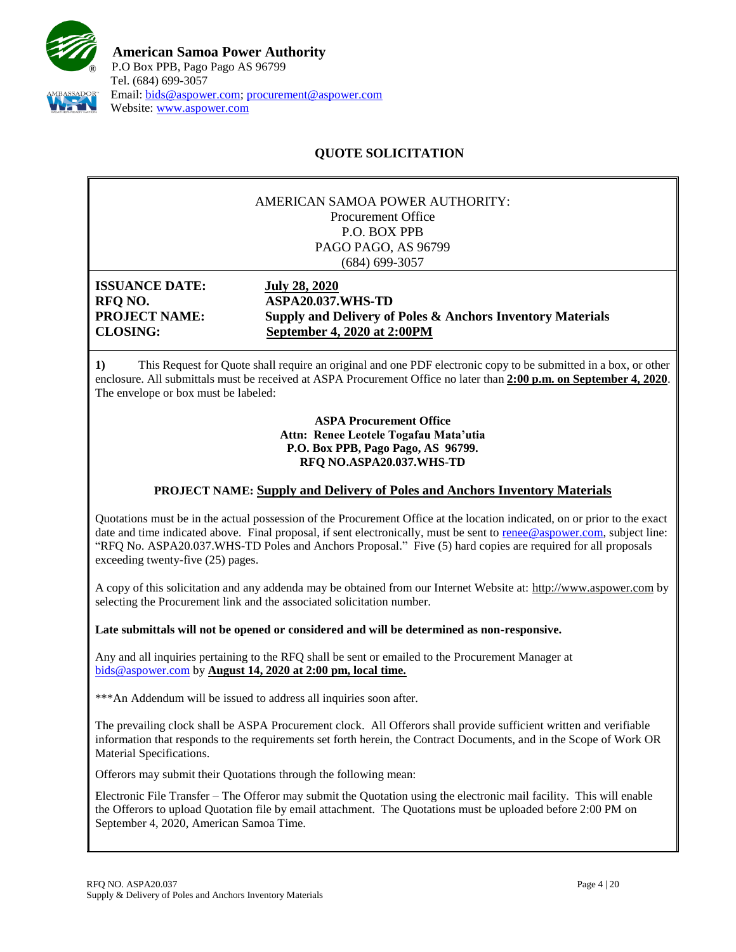

# **QUOTE SOLICITATION**

#### AMERICAN SAMOA POWER AUTHORITY: Procurement Office P.O. BOX PPB PAGO PAGO, AS 96799 (684) 699-3057

**ISSUANCE DATE: July 28, 2020**

**RFQ NO. ASPA20.037.WHS-TD PROJECT NAME: Supply and Delivery of Poles & Anchors Inventory Materials CLOSING: September 4, 2020 at 2:00PM**

**1)** This Request for Quote shall require an original and one PDF electronic copy to be submitted in a box, or other enclosure. All submittals must be received at ASPA Procurement Office no later than **2:00 p.m. on September 4, 2020**. The envelope or box must be labeled:

> **ASPA Procurement Office Attn: Renee Leotele Togafau Mata'utia P.O. Box PPB, Pago Pago, AS 96799. RFQ NO.ASPA20.037.WHS-TD**

### **PROJECT NAME: Supply and Delivery of Poles and Anchors Inventory Materials**

Quotations must be in the actual possession of the Procurement Office at the location indicated, on or prior to the exact date and time indicated above. Final proposal, if sent electronically, must be sent to [renee@aspower.com,](mailto:renee@aspower.com) subject line: "RFQ No. ASPA20.037.WHS-TD Poles and Anchors Proposal." Five (5) hard copies are required for all proposals exceeding twenty-five (25) pages.

A copy of this solicitation and any addenda may be obtained from our Internet Website at: [http://www.aspower.com](http://www.aspower.com/) by selecting the Procurement link and the associated solicitation number.

**Late submittals will not be opened or considered and will be determined as non-responsive.**

Any and all inquiries pertaining to the RFQ shall be sent or emailed to the Procurement Manager at [bids@aspower.com](mailto:bids@aspower.com) by **August 14, 2020 at 2:00 pm, local time.**

\*\*\*An Addendum will be issued to address all inquiries soon after.

The prevailing clock shall be ASPA Procurement clock. All Offerors shall provide sufficient written and verifiable information that responds to the requirements set forth herein, the Contract Documents, and in the Scope of Work OR Material Specifications.

**2)** Offerors may submit their Quotations through the following mean:

Electronic File Transfer – The Offeror may submit the Quotation using the electronic mail facility. This will enable the Offerors to upload Quotation file by email attachment. The Quotations must be uploaded before 2:00 PM on September 4, 2020, American Samoa Time.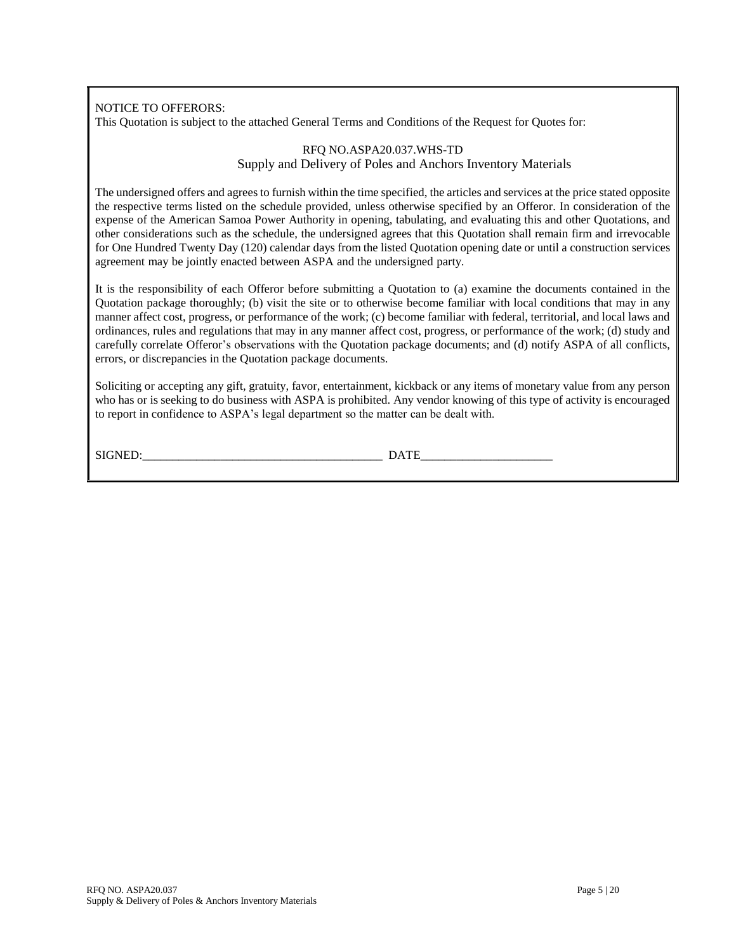### NOTICE TO OFFERORS:

This Quotation is subject to the attached General Terms and Conditions of the Request for Quotes for:

#### RFQ NO.ASPA20.037.WHS-TD Supply and Delivery of Poles and Anchors Inventory Materials

The undersigned offers and agrees to furnish within the time specified, the articles and services at the price stated opposite the respective terms listed on the schedule provided, unless otherwise specified by an Offeror. In consideration of the expense of the American Samoa Power Authority in opening, tabulating, and evaluating this and other Quotations, and other considerations such as the schedule, the undersigned agrees that this Quotation shall remain firm and irrevocable for One Hundred Twenty Day (120) calendar days from the listed Quotation opening date or until a construction services agreement may be jointly enacted between ASPA and the undersigned party.

It is the responsibility of each Offeror before submitting a Quotation to (a) examine the documents contained in the Quotation package thoroughly; (b) visit the site or to otherwise become familiar with local conditions that may in any manner affect cost, progress, or performance of the work; (c) become familiar with federal, territorial, and local laws and ordinances, rules and regulations that may in any manner affect cost, progress, or performance of the work; (d) study and carefully correlate Offeror's observations with the Quotation package documents; and (d) notify ASPA of all conflicts, errors, or discrepancies in the Quotation package documents.

Soliciting or accepting any gift, gratuity, favor, entertainment, kickback or any items of monetary value from any person who has or is seeking to do business with ASPA is prohibited. Any vendor knowing of this type of activity is encouraged to report in confidence to ASPA's legal department so the matter can be dealt with.

SIGNED:\_\_\_\_\_\_\_\_\_\_\_\_\_\_\_\_\_\_\_\_\_\_\_\_\_\_\_\_\_\_\_\_\_\_\_\_\_\_\_\_ DATE\_\_\_\_\_\_\_\_\_\_\_\_\_\_\_\_\_\_\_\_\_\_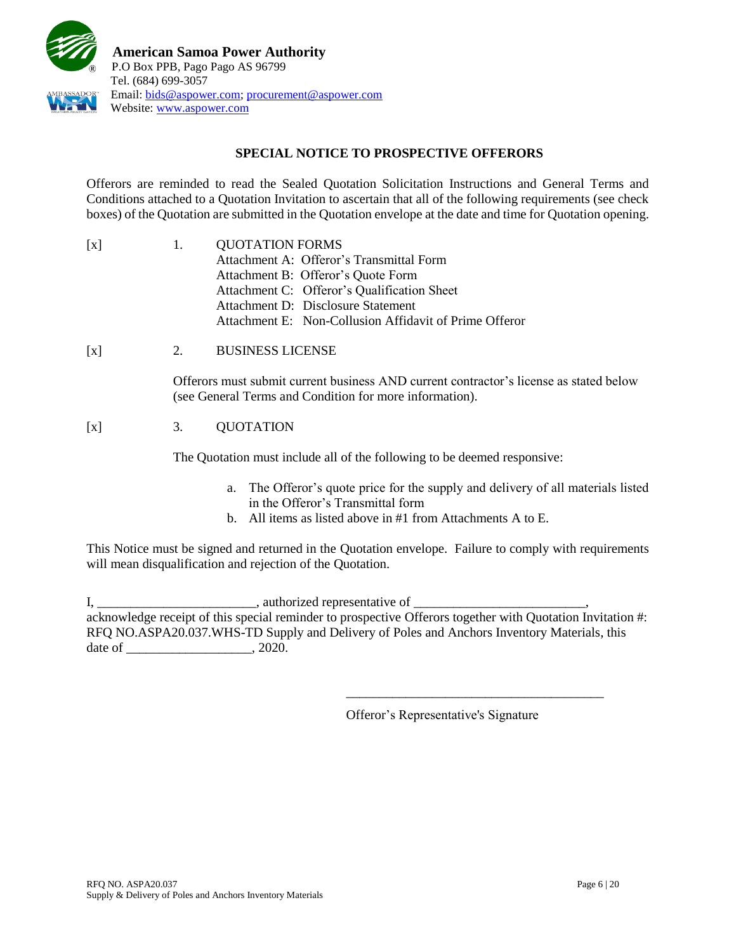

## **SPECIAL NOTICE TO PROSPECTIVE OFFERORS**

Offerors are reminded to read the Sealed Quotation Solicitation Instructions and General Terms and Conditions attached to a Quotation Invitation to ascertain that all of the following requirements (see check boxes) of the Quotation are submitted in the Quotation envelope at the date and time for Quotation opening.

| $\lceil x \rceil$ | $\mathbf{L}$ | <b>QUOTATION FORMS</b>                                 |  |
|-------------------|--------------|--------------------------------------------------------|--|
|                   |              | Attachment A: Offeror's Transmittal Form               |  |
|                   |              | Attachment B: Offeror's Quote Form                     |  |
|                   |              | Attachment C: Offeror's Qualification Sheet            |  |
|                   |              | Attachment D: Disclosure Statement                     |  |
|                   |              | Attachment E: Non-Collusion Affidavit of Prime Offeror |  |

[x] 2. BUSINESS LICENSE

Offerors must submit current business AND current contractor's license as stated below (see General Terms and Condition for more information).

## [x] 3. QUOTATION

The Quotation must include all of the following to be deemed responsive:

- a. The Offeror's quote price for the supply and delivery of all materials listed in the Offeror's Transmittal form
- b. All items as listed above in #1 from Attachments A to E.

This Notice must be signed and returned in the Quotation envelope. Failure to comply with requirements will mean disqualification and rejection of the Quotation.

I, \_\_\_\_\_\_\_\_\_\_\_\_\_\_\_\_\_\_\_\_\_\_\_\_\_\_\_\_\_\_\_, authorized representative of \_\_\_\_\_\_\_\_\_\_\_\_\_\_\_ acknowledge receipt of this special reminder to prospective Offerors together with Quotation Invitation #: RFQ NO.ASPA20.037.WHS-TD Supply and Delivery of Poles and Anchors Inventory Materials, this date of \_\_\_\_\_\_\_\_\_\_\_\_\_\_\_\_\_\_\_\_\_\_\_, 2020.

Offeror's Representative's Signature

\_\_\_\_\_\_\_\_\_\_\_\_\_\_\_\_\_\_\_\_\_\_\_\_\_\_\_\_\_\_\_\_\_\_\_\_\_\_\_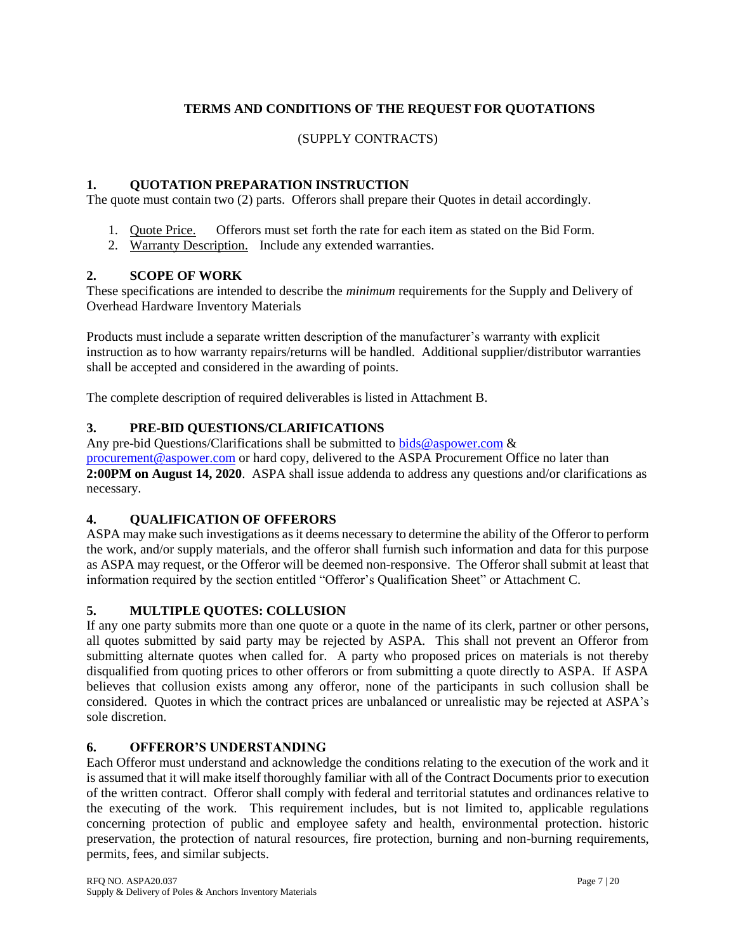# **TERMS AND CONDITIONS OF THE REQUEST FOR QUOTATIONS**

### (SUPPLY CONTRACTS)

### **1. QUOTATION PREPARATION INSTRUCTION**

The quote must contain two (2) parts. Offerors shall prepare their Quotes in detail accordingly.

- 1. Quote Price. Offerors must set forth the rate for each item as stated on the Bid Form.
- 2. Warranty Description. Include any extended warranties.

### **2. SCOPE OF WORK**

These specifications are intended to describe the *minimum* requirements for the Supply and Delivery of Overhead Hardware Inventory Materials

Products must include a separate written description of the manufacturer's warranty with explicit instruction as to how warranty repairs/returns will be handled. Additional supplier/distributor warranties shall be accepted and considered in the awarding of points.

The complete description of required deliverables is listed in Attachment B.

### **3. PRE-BID QUESTIONS/CLARIFICATIONS**

Any pre-bid Questions/Clarifications shall be submitted to [bids@aspower.com](mailto:bids@aspower.com)  $\&$ [procurement@aspower.com](mailto:procurement@aspower.com) or hard copy, delivered to the ASPA Procurement Office no later than **2:00PM on August 14, 2020**. ASPA shall issue addenda to address any questions and/or clarifications as necessary.

### **4. QUALIFICATION OF OFFERORS**

ASPA may make such investigations as it deems necessary to determine the ability of the Offeror to perform the work, and/or supply materials, and the offeror shall furnish such information and data for this purpose as ASPA may request, or the Offeror will be deemed non-responsive. The Offeror shall submit at least that information required by the section entitled "Offeror's Qualification Sheet" or Attachment C.

### **5. MULTIPLE QUOTES: COLLUSION**

If any one party submits more than one quote or a quote in the name of its clerk, partner or other persons, all quotes submitted by said party may be rejected by ASPA. This shall not prevent an Offeror from submitting alternate quotes when called for. A party who proposed prices on materials is not thereby disqualified from quoting prices to other offerors or from submitting a quote directly to ASPA. If ASPA believes that collusion exists among any offeror, none of the participants in such collusion shall be considered. Quotes in which the contract prices are unbalanced or unrealistic may be rejected at ASPA's sole discretion.

### **6. OFFEROR'S UNDERSTANDING**

Each Offeror must understand and acknowledge the conditions relating to the execution of the work and it is assumed that it will make itself thoroughly familiar with all of the Contract Documents prior to execution of the written contract. Offeror shall comply with federal and territorial statutes and ordinances relative to the executing of the work. This requirement includes, but is not limited to, applicable regulations concerning protection of public and employee safety and health, environmental protection. historic preservation, the protection of natural resources, fire protection, burning and non-burning requirements, permits, fees, and similar subjects.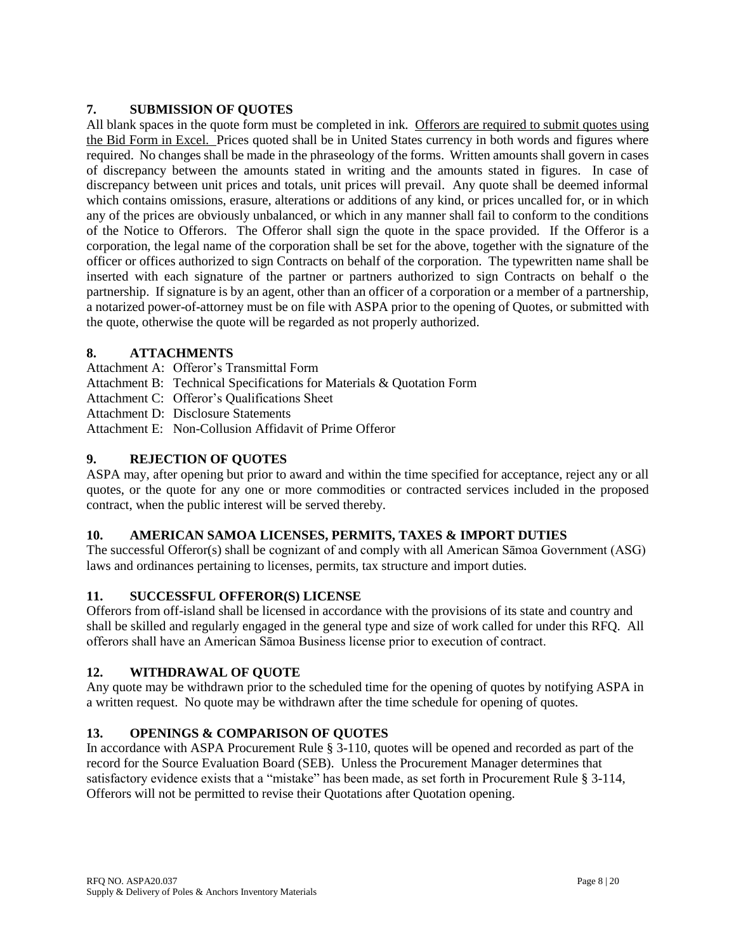## **7. SUBMISSION OF QUOTES**

All blank spaces in the quote form must be completed in ink. Offerors are required to submit quotes using the Bid Form in Excel. Prices quoted shall be in United States currency in both words and figures where required. No changes shall be made in the phraseology of the forms. Written amounts shall govern in cases of discrepancy between the amounts stated in writing and the amounts stated in figures. In case of discrepancy between unit prices and totals, unit prices will prevail. Any quote shall be deemed informal which contains omissions, erasure, alterations or additions of any kind, or prices uncalled for, or in which any of the prices are obviously unbalanced, or which in any manner shall fail to conform to the conditions of the Notice to Offerors. The Offeror shall sign the quote in the space provided. If the Offeror is a corporation, the legal name of the corporation shall be set for the above, together with the signature of the officer or offices authorized to sign Contracts on behalf of the corporation. The typewritten name shall be inserted with each signature of the partner or partners authorized to sign Contracts on behalf o the partnership. If signature is by an agent, other than an officer of a corporation or a member of a partnership, a notarized power-of-attorney must be on file with ASPA prior to the opening of Quotes, or submitted with the quote, otherwise the quote will be regarded as not properly authorized.

### **8. ATTACHMENTS**

- Attachment A: Offeror's Transmittal Form
- Attachment B: Technical Specifications for Materials & Quotation Form
- Attachment C: Offeror's Qualifications Sheet
- Attachment D: Disclosure Statements
- Attachment E: Non-Collusion Affidavit of Prime Offeror

## **9. REJECTION OF QUOTES**

ASPA may, after opening but prior to award and within the time specified for acceptance, reject any or all quotes, or the quote for any one or more commodities or contracted services included in the proposed contract, when the public interest will be served thereby.

## **10. AMERICAN SAMOA LICENSES, PERMITS, TAXES & IMPORT DUTIES**

The successful Offeror(s) shall be cognizant of and comply with all American Sāmoa Government (ASG) laws and ordinances pertaining to licenses, permits, tax structure and import duties.

## **11. SUCCESSFUL OFFEROR(S) LICENSE**

Offerors from off-island shall be licensed in accordance with the provisions of its state and country and shall be skilled and regularly engaged in the general type and size of work called for under this RFQ. All offerors shall have an American Sāmoa Business license prior to execution of contract.

## **12. WITHDRAWAL OF QUOTE**

Any quote may be withdrawn prior to the scheduled time for the opening of quotes by notifying ASPA in a written request. No quote may be withdrawn after the time schedule for opening of quotes.

## **13. OPENINGS & COMPARISON OF QUOTES**

In accordance with ASPA Procurement Rule § 3-110, quotes will be opened and recorded as part of the record for the Source Evaluation Board (SEB). Unless the Procurement Manager determines that satisfactory evidence exists that a "mistake" has been made, as set forth in Procurement Rule § 3-114, Offerors will not be permitted to revise their Quotations after Quotation opening.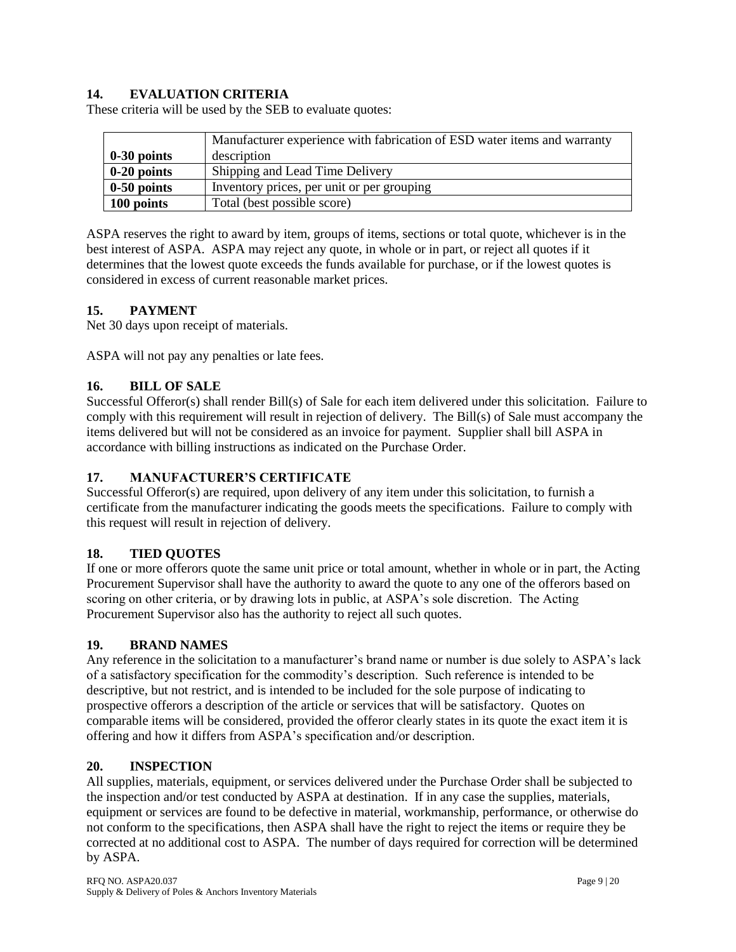## **14. EVALUATION CRITERIA**

These criteria will be used by the SEB to evaluate quotes:

|               | Manufacturer experience with fabrication of ESD water items and warranty |  |
|---------------|--------------------------------------------------------------------------|--|
| $0-30$ points | description                                                              |  |
| $0-20$ points | Shipping and Lead Time Delivery                                          |  |
| $0-50$ points | Inventory prices, per unit or per grouping                               |  |
| 100 points    | Total (best possible score)                                              |  |

ASPA reserves the right to award by item, groups of items, sections or total quote, whichever is in the best interest of ASPA. ASPA may reject any quote, in whole or in part, or reject all quotes if it determines that the lowest quote exceeds the funds available for purchase, or if the lowest quotes is considered in excess of current reasonable market prices.

### **15. PAYMENT**

Net 30 days upon receipt of materials.

ASPA will not pay any penalties or late fees.

### **16. BILL OF SALE**

Successful Offeror(s) shall render Bill(s) of Sale for each item delivered under this solicitation. Failure to comply with this requirement will result in rejection of delivery. The Bill(s) of Sale must accompany the items delivered but will not be considered as an invoice for payment. Supplier shall bill ASPA in accordance with billing instructions as indicated on the Purchase Order.

### **17. MANUFACTURER'S CERTIFICATE**

Successful Offeror(s) are required, upon delivery of any item under this solicitation, to furnish a certificate from the manufacturer indicating the goods meets the specifications. Failure to comply with this request will result in rejection of delivery.

### **18. TIED QUOTES**

If one or more offerors quote the same unit price or total amount, whether in whole or in part, the Acting Procurement Supervisor shall have the authority to award the quote to any one of the offerors based on scoring on other criteria, or by drawing lots in public, at ASPA's sole discretion. The Acting Procurement Supervisor also has the authority to reject all such quotes.

### **19. BRAND NAMES**

Any reference in the solicitation to a manufacturer's brand name or number is due solely to ASPA's lack of a satisfactory specification for the commodity's description. Such reference is intended to be descriptive, but not restrict, and is intended to be included for the sole purpose of indicating to prospective offerors a description of the article or services that will be satisfactory. Quotes on comparable items will be considered, provided the offeror clearly states in its quote the exact item it is offering and how it differs from ASPA's specification and/or description.

### **20. INSPECTION**

All supplies, materials, equipment, or services delivered under the Purchase Order shall be subjected to the inspection and/or test conducted by ASPA at destination. If in any case the supplies, materials, equipment or services are found to be defective in material, workmanship, performance, or otherwise do not conform to the specifications, then ASPA shall have the right to reject the items or require they be corrected at no additional cost to ASPA. The number of days required for correction will be determined by ASPA.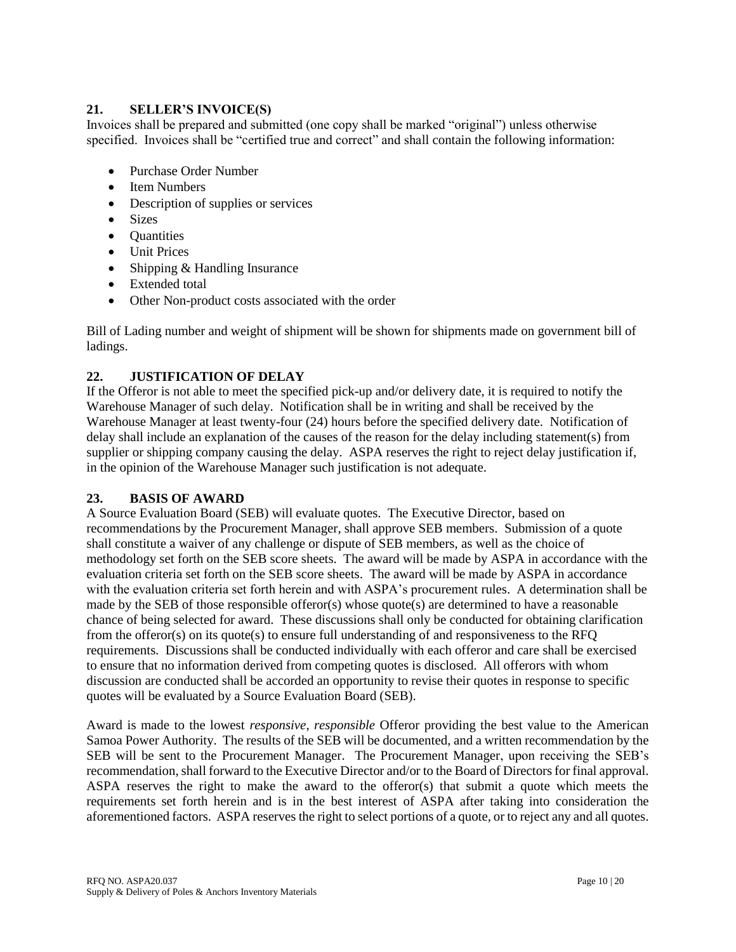### **21. SELLER'S INVOICE(S)**

Invoices shall be prepared and submitted (one copy shall be marked "original") unless otherwise specified. Invoices shall be "certified true and correct" and shall contain the following information:

- Purchase Order Number
- Item Numbers
- Description of supplies or services
- Sizes
- **Quantities**
- Unit Prices
- Shipping & Handling Insurance
- Extended total
- Other Non-product costs associated with the order

Bill of Lading number and weight of shipment will be shown for shipments made on government bill of ladings.

## **22. JUSTIFICATION OF DELAY**

If the Offeror is not able to meet the specified pick-up and/or delivery date, it is required to notify the Warehouse Manager of such delay. Notification shall be in writing and shall be received by the Warehouse Manager at least twenty-four (24) hours before the specified delivery date. Notification of delay shall include an explanation of the causes of the reason for the delay including statement(s) from supplier or shipping company causing the delay. ASPA reserves the right to reject delay justification if, in the opinion of the Warehouse Manager such justification is not adequate.

## **23. BASIS OF AWARD**

A Source Evaluation Board (SEB) will evaluate quotes. The Executive Director, based on recommendations by the Procurement Manager, shall approve SEB members. Submission of a quote shall constitute a waiver of any challenge or dispute of SEB members, as well as the choice of methodology set forth on the SEB score sheets. The award will be made by ASPA in accordance with the evaluation criteria set forth on the SEB score sheets. The award will be made by ASPA in accordance with the evaluation criteria set forth herein and with ASPA's procurement rules. A determination shall be made by the SEB of those responsible offeror(s) whose quote(s) are determined to have a reasonable chance of being selected for award. These discussions shall only be conducted for obtaining clarification from the offeror(s) on its quote(s) to ensure full understanding of and responsiveness to the RFQ requirements. Discussions shall be conducted individually with each offeror and care shall be exercised to ensure that no information derived from competing quotes is disclosed. All offerors with whom discussion are conducted shall be accorded an opportunity to revise their quotes in response to specific quotes will be evaluated by a Source Evaluation Board (SEB).

Award is made to the lowest *responsive, responsible* Offeror providing the best value to the American Samoa Power Authority. The results of the SEB will be documented, and a written recommendation by the SEB will be sent to the Procurement Manager. The Procurement Manager, upon receiving the SEB's recommendation, shall forward to the Executive Director and/or to the Board of Directors for final approval. ASPA reserves the right to make the award to the offeror(s) that submit a quote which meets the requirements set forth herein and is in the best interest of ASPA after taking into consideration the aforementioned factors. ASPA reserves the right to select portions of a quote, or to reject any and all quotes.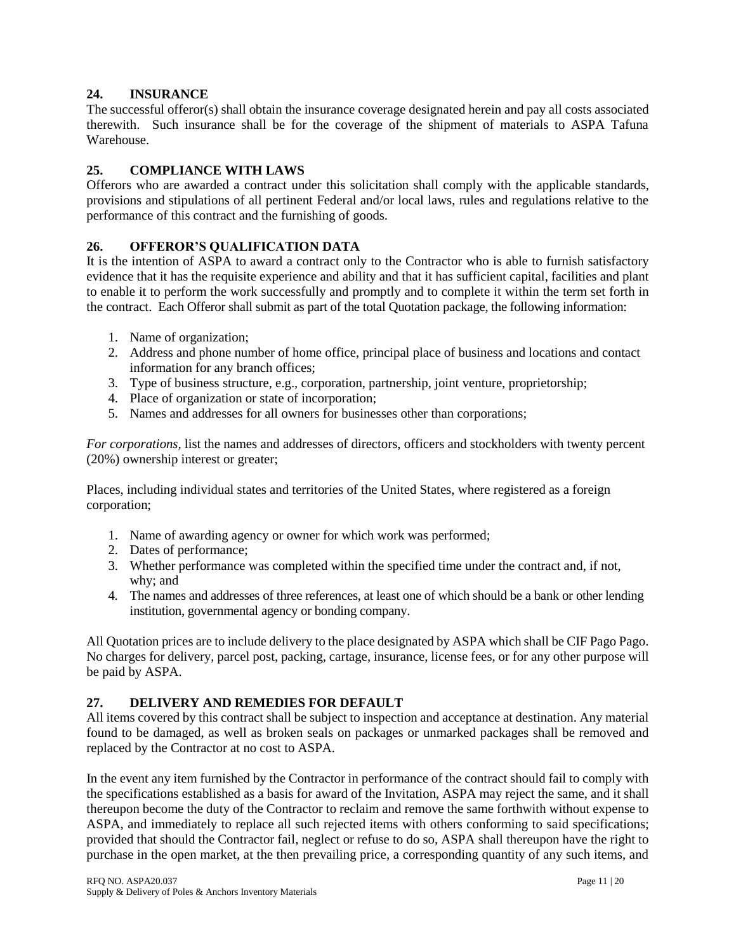### **24. INSURANCE**

The successful offeror(s) shall obtain the insurance coverage designated herein and pay all costs associated therewith. Such insurance shall be for the coverage of the shipment of materials to ASPA Tafuna Warehouse.

### **25. COMPLIANCE WITH LAWS**

Offerors who are awarded a contract under this solicitation shall comply with the applicable standards, provisions and stipulations of all pertinent Federal and/or local laws, rules and regulations relative to the performance of this contract and the furnishing of goods.

### **26. OFFEROR'S QUALIFICATION DATA**

It is the intention of ASPA to award a contract only to the Contractor who is able to furnish satisfactory evidence that it has the requisite experience and ability and that it has sufficient capital, facilities and plant to enable it to perform the work successfully and promptly and to complete it within the term set forth in the contract. Each Offeror shall submit as part of the total Quotation package, the following information:

- 1. Name of organization;
- 2. Address and phone number of home office, principal place of business and locations and contact information for any branch offices;
- 3. Type of business structure, e.g., corporation, partnership, joint venture, proprietorship;
- 4. Place of organization or state of incorporation;
- 5. Names and addresses for all owners for businesses other than corporations;

*For corporations,* list the names and addresses of directors, officers and stockholders with twenty percent (20%) ownership interest or greater;

Places, including individual states and territories of the United States, where registered as a foreign corporation;

- 1. Name of awarding agency or owner for which work was performed;
- 2. Dates of performance;
- 3. Whether performance was completed within the specified time under the contract and, if not, why; and
- 4. The names and addresses of three references, at least one of which should be a bank or other lending institution, governmental agency or bonding company.

All Quotation prices are to include delivery to the place designated by ASPA which shall be CIF Pago Pago. No charges for delivery, parcel post, packing, cartage, insurance, license fees, or for any other purpose will be paid by ASPA.

### **27. DELIVERY AND REMEDIES FOR DEFAULT**

All items covered by this contract shall be subject to inspection and acceptance at destination. Any material found to be damaged, as well as broken seals on packages or unmarked packages shall be removed and replaced by the Contractor at no cost to ASPA.

In the event any item furnished by the Contractor in performance of the contract should fail to comply with the specifications established as a basis for award of the Invitation, ASPA may reject the same, and it shall thereupon become the duty of the Contractor to reclaim and remove the same forthwith without expense to ASPA, and immediately to replace all such rejected items with others conforming to said specifications; provided that should the Contractor fail, neglect or refuse to do so, ASPA shall thereupon have the right to purchase in the open market, at the then prevailing price, a corresponding quantity of any such items, and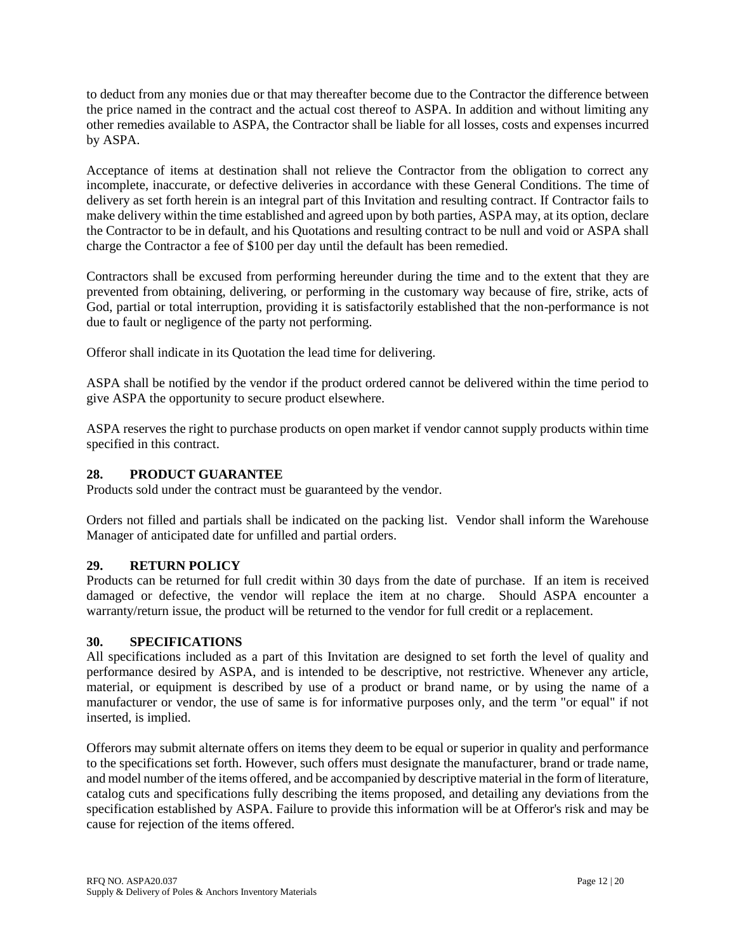to deduct from any monies due or that may thereafter become due to the Contractor the difference between the price named in the contract and the actual cost thereof to ASPA. In addition and without limiting any other remedies available to ASPA, the Contractor shall be liable for all losses, costs and expenses incurred by ASPA.

Acceptance of items at destination shall not relieve the Contractor from the obligation to correct any incomplete, inaccurate, or defective deliveries in accordance with these General Conditions. The time of delivery as set forth herein is an integral part of this Invitation and resulting contract. If Contractor fails to make delivery within the time established and agreed upon by both parties, ASPA may, at its option, declare the Contractor to be in default, and his Quotations and resulting contract to be null and void or ASPA shall charge the Contractor a fee of \$100 per day until the default has been remedied.

Contractors shall be excused from performing hereunder during the time and to the extent that they are prevented from obtaining, delivering, or performing in the customary way because of fire, strike, acts of God, partial or total interruption, providing it is satisfactorily established that the non-performance is not due to fault or negligence of the party not performing.

Offeror shall indicate in its Quotation the lead time for delivering.

ASPA shall be notified by the vendor if the product ordered cannot be delivered within the time period to give ASPA the opportunity to secure product elsewhere.

ASPA reserves the right to purchase products on open market if vendor cannot supply products within time specified in this contract.

### **28. PRODUCT GUARANTEE**

Products sold under the contract must be guaranteed by the vendor.

Orders not filled and partials shall be indicated on the packing list. Vendor shall inform the Warehouse Manager of anticipated date for unfilled and partial orders.

## **29. RETURN POLICY**

Products can be returned for full credit within 30 days from the date of purchase. If an item is received damaged or defective, the vendor will replace the item at no charge. Should ASPA encounter a warranty/return issue, the product will be returned to the vendor for full credit or a replacement.

### **30. SPECIFICATIONS**

All specifications included as a part of this Invitation are designed to set forth the level of quality and performance desired by ASPA, and is intended to be descriptive, not restrictive. Whenever any article, material, or equipment is described by use of a product or brand name, or by using the name of a manufacturer or vendor, the use of same is for informative purposes only, and the term "or equal" if not inserted, is implied.

Offerors may submit alternate offers on items they deem to be equal or superior in quality and performance to the specifications set forth. However, such offers must designate the manufacturer, brand or trade name, and model number of the items offered, and be accompanied by descriptive material in the form of literature, catalog cuts and specifications fully describing the items proposed, and detailing any deviations from the specification established by ASPA. Failure to provide this information will be at Offeror's risk and may be cause for rejection of the items offered.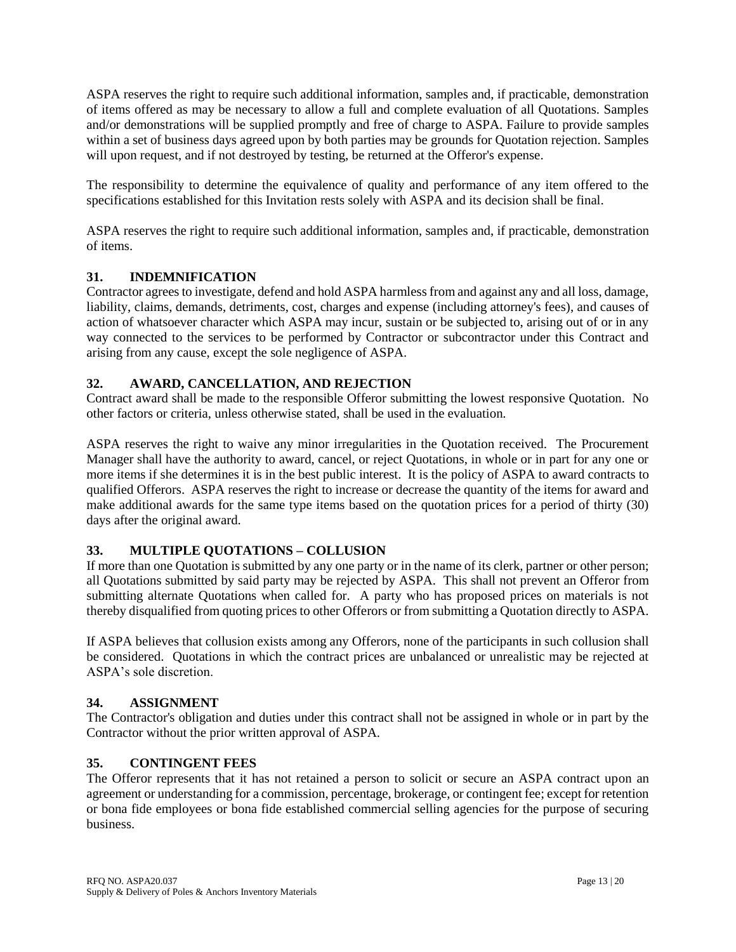ASPA reserves the right to require such additional information, samples and, if practicable, demonstration of items offered as may be necessary to allow a full and complete evaluation of all Quotations. Samples and/or demonstrations will be supplied promptly and free of charge to ASPA. Failure to provide samples within a set of business days agreed upon by both parties may be grounds for Quotation rejection. Samples will upon request, and if not destroyed by testing, be returned at the Offeror's expense.

The responsibility to determine the equivalence of quality and performance of any item offered to the specifications established for this Invitation rests solely with ASPA and its decision shall be final.

ASPA reserves the right to require such additional information, samples and, if practicable, demonstration of items.

# **31. INDEMNIFICATION**

Contractor agrees to investigate, defend and hold ASPA harmless from and against any and all loss, damage, liability, claims, demands, detriments, cost, charges and expense (including attorney's fees), and causes of action of whatsoever character which ASPA may incur, sustain or be subjected to, arising out of or in any way connected to the services to be performed by Contractor or subcontractor under this Contract and arising from any cause, except the sole negligence of ASPA.

## **32. AWARD, CANCELLATION, AND REJECTION**

Contract award shall be made to the responsible Offeror submitting the lowest responsive Quotation. No other factors or criteria, unless otherwise stated, shall be used in the evaluation.

ASPA reserves the right to waive any minor irregularities in the Quotation received. The Procurement Manager shall have the authority to award, cancel, or reject Quotations, in whole or in part for any one or more items if she determines it is in the best public interest. It is the policy of ASPA to award contracts to qualified Offerors. ASPA reserves the right to increase or decrease the quantity of the items for award and make additional awards for the same type items based on the quotation prices for a period of thirty (30) days after the original award.

## **33. MULTIPLE QUOTATIONS – COLLUSION**

If more than one Quotation is submitted by any one party or in the name of its clerk, partner or other person; all Quotations submitted by said party may be rejected by ASPA. This shall not prevent an Offeror from submitting alternate Quotations when called for. A party who has proposed prices on materials is not thereby disqualified from quoting prices to other Offerors or from submitting a Quotation directly to ASPA.

If ASPA believes that collusion exists among any Offerors, none of the participants in such collusion shall be considered. Quotations in which the contract prices are unbalanced or unrealistic may be rejected at ASPA's sole discretion.

## **34. ASSIGNMENT**

The Contractor's obligation and duties under this contract shall not be assigned in whole or in part by the Contractor without the prior written approval of ASPA.

## **35. CONTINGENT FEES**

The Offeror represents that it has not retained a person to solicit or secure an ASPA contract upon an agreement or understanding for a commission, percentage, brokerage, or contingent fee; except for retention or bona fide employees or bona fide established commercial selling agencies for the purpose of securing business.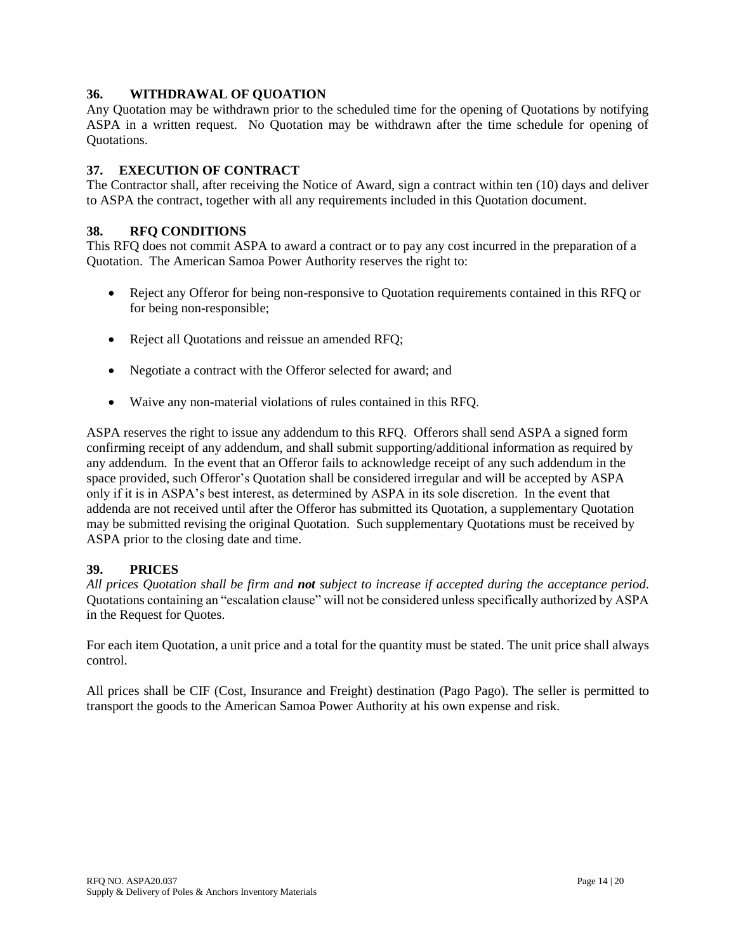### **36. WITHDRAWAL OF QUOATION**

Any Quotation may be withdrawn prior to the scheduled time for the opening of Quotations by notifying ASPA in a written request. No Quotation may be withdrawn after the time schedule for opening of Quotations.

### **37. EXECUTION OF CONTRACT**

The Contractor shall, after receiving the Notice of Award, sign a contract within ten (10) days and deliver to ASPA the contract, together with all any requirements included in this Quotation document.

### **38. RFQ CONDITIONS**

This RFQ does not commit ASPA to award a contract or to pay any cost incurred in the preparation of a Quotation. The American Samoa Power Authority reserves the right to:

- Reject any Offeror for being non-responsive to Quotation requirements contained in this RFQ or for being non-responsible;
- Reject all Quotations and reissue an amended RFQ;
- Negotiate a contract with the Offeror selected for award; and
- Waive any non-material violations of rules contained in this RFQ.

ASPA reserves the right to issue any addendum to this RFQ. Offerors shall send ASPA a signed form confirming receipt of any addendum, and shall submit supporting/additional information as required by any addendum. In the event that an Offeror fails to acknowledge receipt of any such addendum in the space provided, such Offeror's Quotation shall be considered irregular and will be accepted by ASPA only if it is in ASPA's best interest, as determined by ASPA in its sole discretion. In the event that addenda are not received until after the Offeror has submitted its Quotation, a supplementary Quotation may be submitted revising the original Quotation. Such supplementary Quotations must be received by ASPA prior to the closing date and time.

### **39. PRICES**

*All prices Quotation shall be firm and not subject to increase if accepted during the acceptance period*. Quotations containing an "escalation clause" will not be considered unless specifically authorized by ASPA in the Request for Quotes.

For each item Quotation, a unit price and a total for the quantity must be stated. The unit price shall always control.

All prices shall be CIF (Cost, Insurance and Freight) destination (Pago Pago). The seller is permitted to transport the goods to the American Samoa Power Authority at his own expense and risk.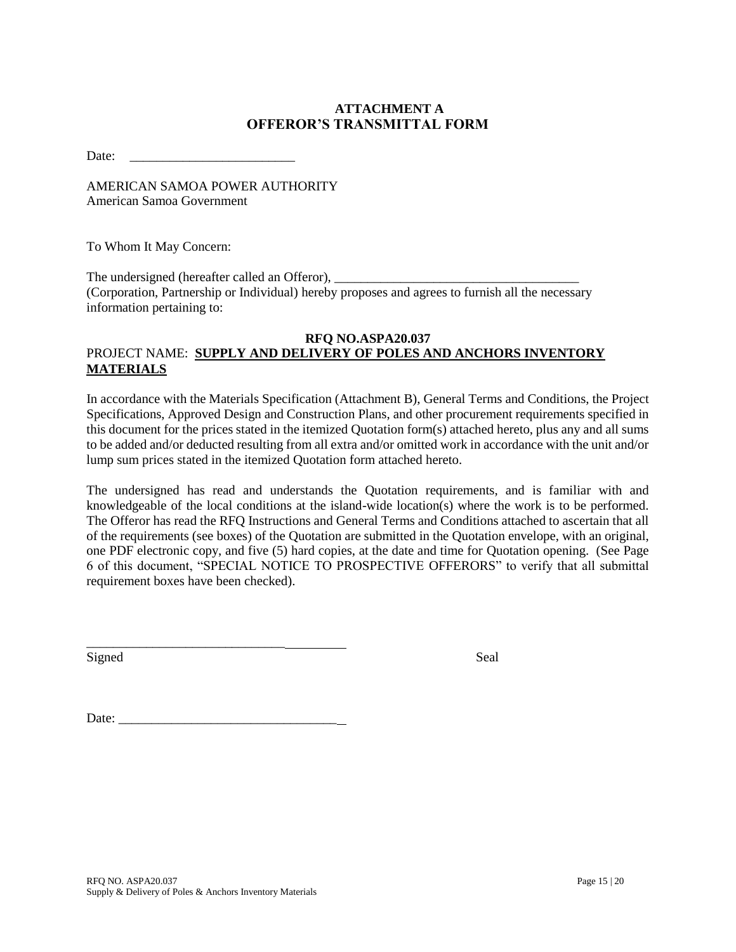# **ATTACHMENT A OFFEROR'S TRANSMITTAL FORM**

Date:

AMERICAN SAMOA POWER AUTHORITY American Samoa Government

To Whom It May Concern:

The undersigned (hereafter called an Offeror), (Corporation, Partnership or Individual) hereby proposes and agrees to furnish all the necessary information pertaining to:

#### **RFQ NO.ASPA20.037** PROJECT NAME: **SUPPLY AND DELIVERY OF POLES AND ANCHORS INVENTORY MATERIALS**

In accordance with the Materials Specification (Attachment B), General Terms and Conditions, the Project Specifications, Approved Design and Construction Plans, and other procurement requirements specified in this document for the prices stated in the itemized Quotation form(s) attached hereto, plus any and all sums to be added and/or deducted resulting from all extra and/or omitted work in accordance with the unit and/or lump sum prices stated in the itemized Quotation form attached hereto.

The undersigned has read and understands the Quotation requirements, and is familiar with and knowledgeable of the local conditions at the island-wide location(s) where the work is to be performed. The Offeror has read the RFQ Instructions and General Terms and Conditions attached to ascertain that all of the requirements (see boxes) of the Quotation are submitted in the Quotation envelope, with an original, one PDF electronic copy, and five (5) hard copies, at the date and time for Quotation opening. (See Page 6 of this document, "SPECIAL NOTICE TO PROSPECTIVE OFFERORS" to verify that all submittal requirement boxes have been checked).

Signed Seal

Date:

\_\_\_\_\_\_\_\_\_\_\_\_\_\_\_\_\_\_\_\_\_\_\_\_\_\_\_\_\_\_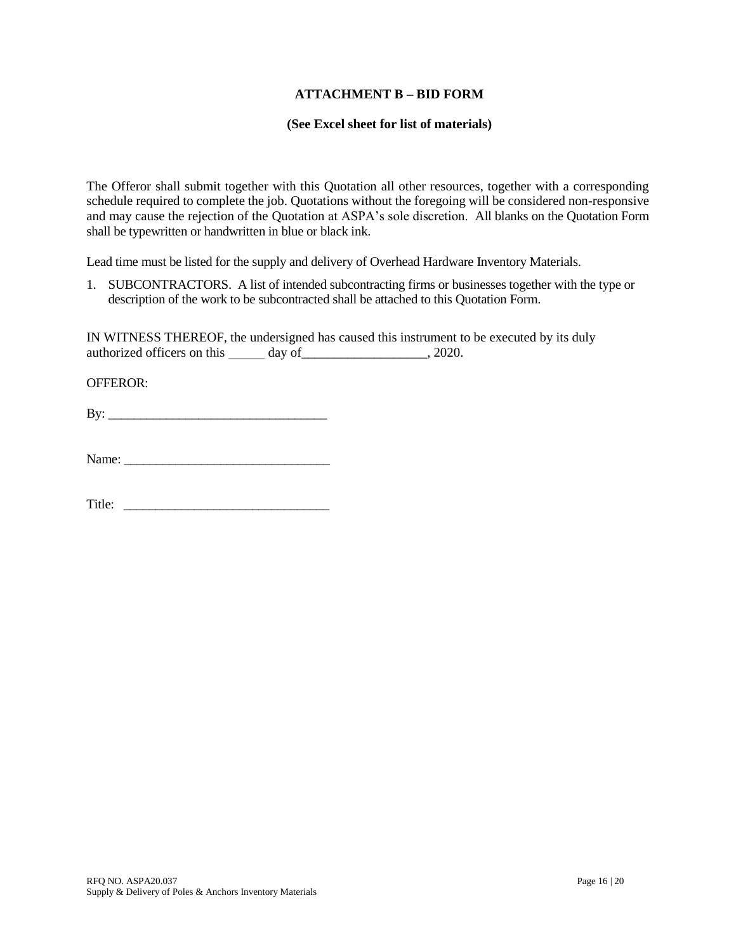#### **ATTACHMENT B – BID FORM**

#### **(See Excel sheet for list of materials)**

The Offeror shall submit together with this Quotation all other resources, together with a corresponding schedule required to complete the job. Quotations without the foregoing will be considered non-responsive and may cause the rejection of the Quotation at ASPA's sole discretion. All blanks on the Quotation Form shall be typewritten or handwritten in blue or black ink.

Lead time must be listed for the supply and delivery of Overhead Hardware Inventory Materials.

1. SUBCONTRACTORS. A list of intended subcontracting firms or businesses together with the type or description of the work to be subcontracted shall be attached to this Quotation Form.

IN WITNESS THEREOF, the undersigned has caused this instrument to be executed by its duly authorized officers on this day of \_\_\_\_\_\_\_\_\_\_\_\_\_\_\_\_\_\_\_\_, 2020.

OFFEROR:

 $\mathbf{B} \mathbf{y}$ :

Title: \_\_\_\_\_\_\_\_\_\_\_\_\_\_\_\_\_\_\_\_\_\_\_\_\_\_\_\_\_\_\_\_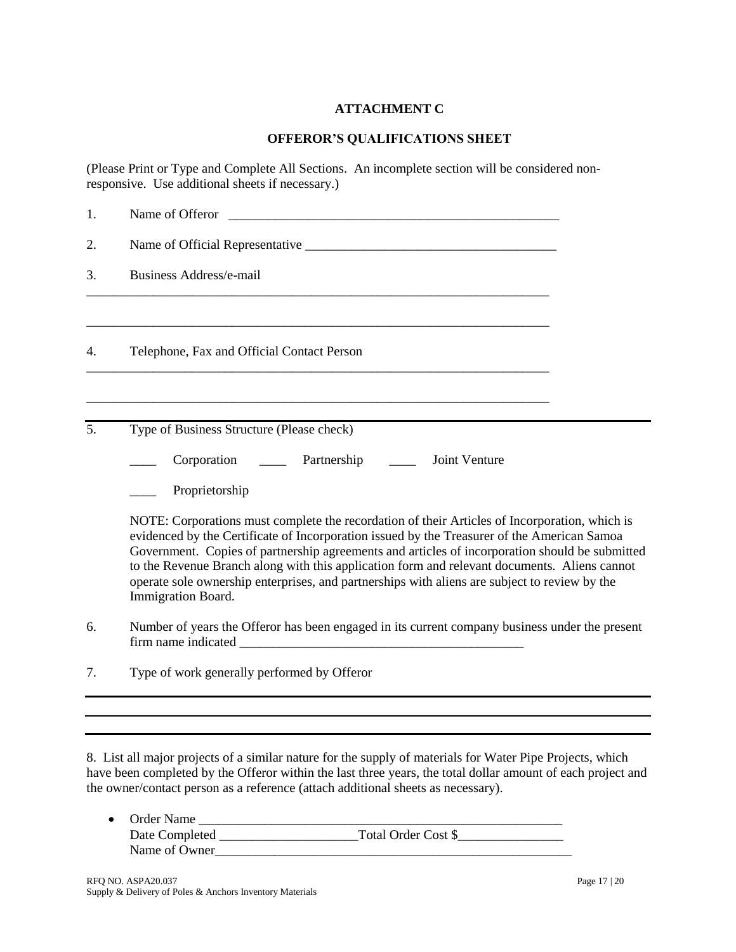# **ATTACHMENT C**

### **OFFEROR'S QUALIFICATIONS SHEET**

(Please Print or Type and Complete All Sections. An incomplete section will be considered nonresponsive. Use additional sheets if necessary.)

| Name of Offeror                                                                                                                                                                                                                                                                                                                                                                                                                                                                                                       |  |  |
|-----------------------------------------------------------------------------------------------------------------------------------------------------------------------------------------------------------------------------------------------------------------------------------------------------------------------------------------------------------------------------------------------------------------------------------------------------------------------------------------------------------------------|--|--|
|                                                                                                                                                                                                                                                                                                                                                                                                                                                                                                                       |  |  |
| <b>Business Address/e-mail</b>                                                                                                                                                                                                                                                                                                                                                                                                                                                                                        |  |  |
| Telephone, Fax and Official Contact Person                                                                                                                                                                                                                                                                                                                                                                                                                                                                            |  |  |
| Type of Business Structure (Please check)                                                                                                                                                                                                                                                                                                                                                                                                                                                                             |  |  |
| Partnership<br>Corporation<br>Joint Venture                                                                                                                                                                                                                                                                                                                                                                                                                                                                           |  |  |
| Proprietorship                                                                                                                                                                                                                                                                                                                                                                                                                                                                                                        |  |  |
| NOTE: Corporations must complete the recordation of their Articles of Incorporation, which is<br>evidenced by the Certificate of Incorporation issued by the Treasurer of the American Samoa<br>Government. Copies of partnership agreements and articles of incorporation should be submitted<br>to the Revenue Branch along with this application form and relevant documents. Aliens cannot<br>operate sole ownership enterprises, and partnerships with aliens are subject to review by the<br>Immigration Board. |  |  |
| Number of years the Offeror has been engaged in its current company business under the present                                                                                                                                                                                                                                                                                                                                                                                                                        |  |  |
| Type of work generally performed by Offeror                                                                                                                                                                                                                                                                                                                                                                                                                                                                           |  |  |
|                                                                                                                                                                                                                                                                                                                                                                                                                                                                                                                       |  |  |
|                                                                                                                                                                                                                                                                                                                                                                                                                                                                                                                       |  |  |
|                                                                                                                                                                                                                                                                                                                                                                                                                                                                                                                       |  |  |

8. List all major projects of a similar nature for the supply of materials for Water Pipe Projects, which have been completed by the Offeror within the last three years, the total dollar amount of each project and the owner/contact person as a reference (attach additional sheets as necessary).

| • Order Name   |                     |
|----------------|---------------------|
| Date Completed | Total Order Cost \$ |
| Name of Owner  |                     |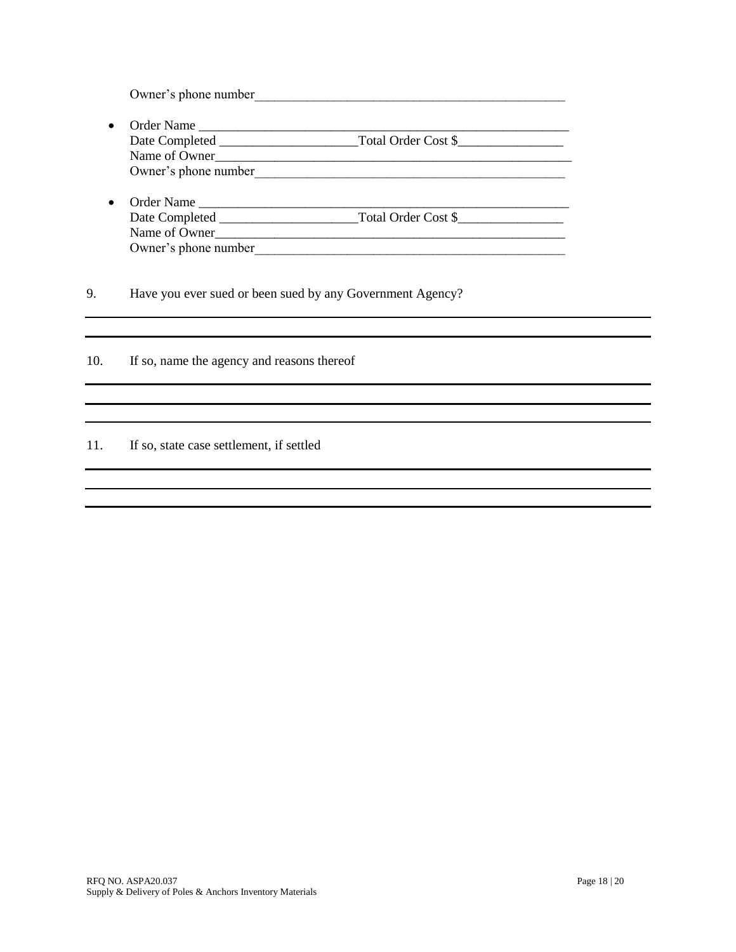Owner's phone number

- Order Name \_\_\_\_\_\_\_\_\_\_\_\_\_\_\_\_\_\_\_\_\_\_\_\_\_\_\_\_\_\_\_\_\_\_\_\_\_\_\_\_\_\_\_\_\_\_\_\_\_\_\_\_\_\_\_\_ Date Completed \_\_\_\_\_\_\_\_\_\_\_\_\_\_\_\_\_\_\_\_\_Total Order Cost \$\_\_\_\_\_\_\_\_\_\_\_\_\_\_\_\_ Name of Owner\_\_\_\_\_\_\_\_\_\_\_\_\_\_\_\_\_\_\_\_\_\_\_\_\_\_\_\_\_\_\_\_\_\_\_\_\_\_\_\_\_\_\_\_\_\_\_\_\_\_\_\_\_\_ Owner's phone number\_\_\_\_\_\_\_\_\_\_\_\_\_\_\_\_\_\_\_\_\_\_\_\_\_\_\_\_\_\_\_\_\_\_\_\_\_\_\_\_\_\_\_\_\_\_\_
- Order Name \_\_\_\_\_\_\_\_\_\_\_\_\_\_\_\_\_\_\_\_\_\_\_\_\_\_\_\_\_\_\_\_\_\_\_\_\_\_\_\_\_\_\_\_\_\_\_\_\_\_\_\_\_\_\_\_ Date Completed \_\_\_\_\_\_\_\_\_\_\_\_\_\_\_\_\_\_\_\_\_Total Order Cost \$\_\_\_\_\_\_\_\_\_\_\_\_\_\_\_\_ Name of Owner\_\_\_\_\_\_\_\_\_\_\_\_\_\_\_\_\_\_\_\_\_\_\_\_\_\_\_\_\_\_\_\_\_\_\_\_\_\_\_\_\_\_\_\_\_\_\_\_\_\_\_\_\_ Owner's phone number

9. Have you ever sued or been sued by any Government Agency?

10. If so, name the agency and reasons thereof

### 11. If so, state case settlement, if settled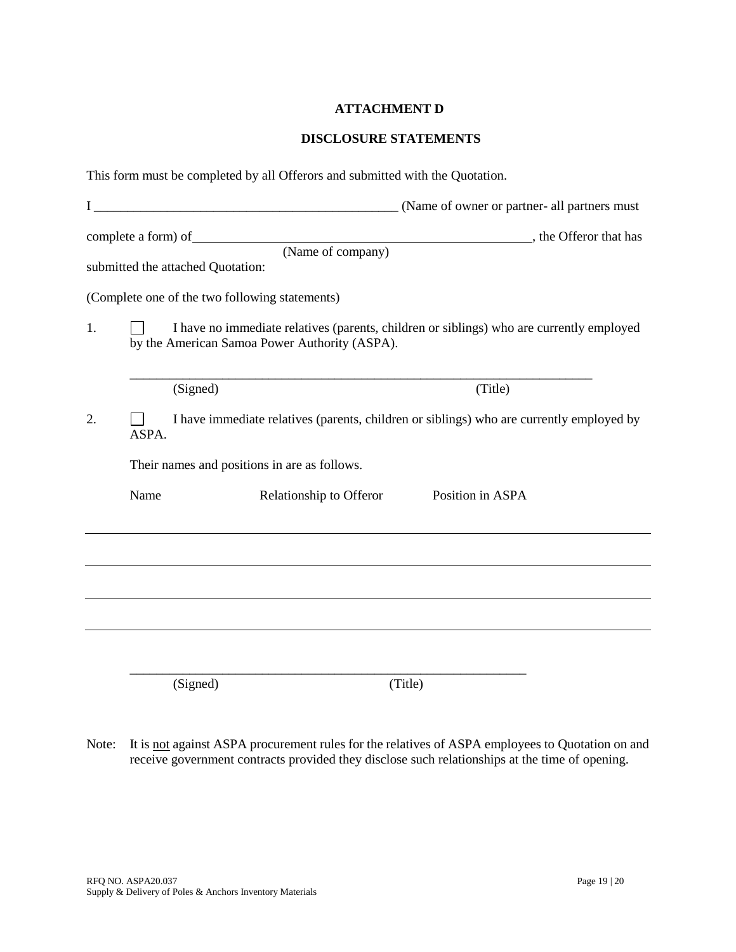## **ATTACHMENT D**

### **DISCLOSURE STATEMENTS**

|    |       | This form must be completed by all Offerors and submitted with the Quotation.                                                             |                                          |  |
|----|-------|-------------------------------------------------------------------------------------------------------------------------------------------|------------------------------------------|--|
|    |       |                                                                                                                                           |                                          |  |
|    |       | submitted the attached Quotation:                                                                                                         | (Name of company) , the Offeror that has |  |
|    |       | (Complete one of the two following statements)                                                                                            |                                          |  |
| 1. |       | I have no immediate relatives (parents, children or siblings) who are currently employed<br>by the American Samoa Power Authority (ASPA). |                                          |  |
|    |       | (Signed)                                                                                                                                  | (Title)                                  |  |
| 2. | ASPA. | I have immediate relatives (parents, children or siblings) who are currently employed by                                                  |                                          |  |
|    |       | Their names and positions in are as follows.                                                                                              |                                          |  |
|    | Name  | Relationship to Offeror                                                                                                                   | Position in ASPA                         |  |
|    |       |                                                                                                                                           |                                          |  |
|    |       |                                                                                                                                           |                                          |  |
|    |       |                                                                                                                                           |                                          |  |
|    |       | (Signed)                                                                                                                                  | (Title)                                  |  |

Note: It is not against ASPA procurement rules for the relatives of ASPA employees to Quotation on and receive government contracts provided they disclose such relationships at the time of opening.